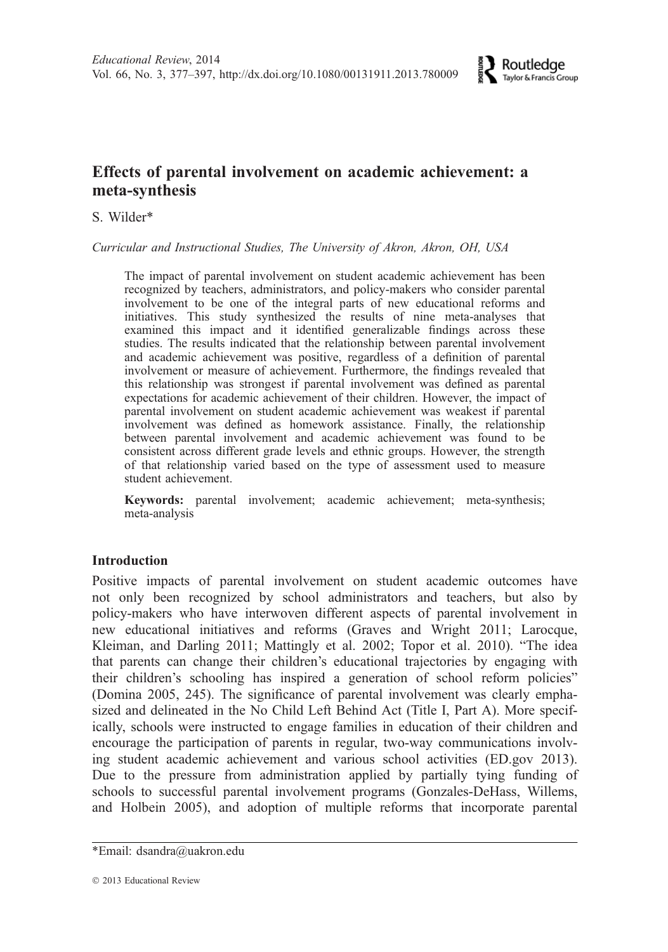# Effects of parental involvement on academic achievement: a meta-synthesis

#### S. Wilder\*

Curricular and Instructional Studies, The University of Akron, Akron, OH, USA

The impact of parental involvement on student academic achievement has been recognized by teachers, administrators, and policy-makers who consider parental involvement to be one of the integral parts of new educational reforms and initiatives. This study synthesized the results of nine meta-analyses that examined this impact and it identified generalizable findings across these studies. The results indicated that the relationship between parental involvement and academic achievement was positive, regardless of a definition of parental involvement or measure of achievement. Furthermore, the findings revealed that this relationship was strongest if parental involvement was defined as parental expectations for academic achievement of their children. However, the impact of parental involvement on student academic achievement was weakest if parental involvement was defined as homework assistance. Finally, the relationship between parental involvement and academic achievement was found to be consistent across different grade levels and ethnic groups. However, the strength of that relationship varied based on the type of assessment used to measure student achievement.

Keywords: parental involvement; academic achievement; meta-synthesis; meta-analysis

# Introduction

Positive impacts of parental involvement on student academic outcomes have not only been recognized by school administrators and teachers, but also by policy-makers who have interwoven different aspects of parental involvement in new educational initiatives and reforms (Graves and Wright 2011; Larocque, Kleiman, and Darling 2011; Mattingly et al. 2002; Topor et al. 2010). "The idea that parents can change their children's educational trajectories by engaging with their children's schooling has inspired a generation of school reform policies" (Domina 2005, 245). The significance of parental involvement was clearly emphasized and delineated in the No Child Left Behind Act (Title I, Part A). More specifically, schools were instructed to engage families in education of their children and encourage the participation of parents in regular, two-way communications involving student academic achievement and various school activities (ED.gov 2013). Due to the pressure from administration applied by partially tying funding of schools to successful parental involvement programs (Gonzales-DeHass, Willems, and Holbein 2005), and adoption of multiple reforms that incorporate parental

<sup>\*</sup>Email: dsandra@uakron.edu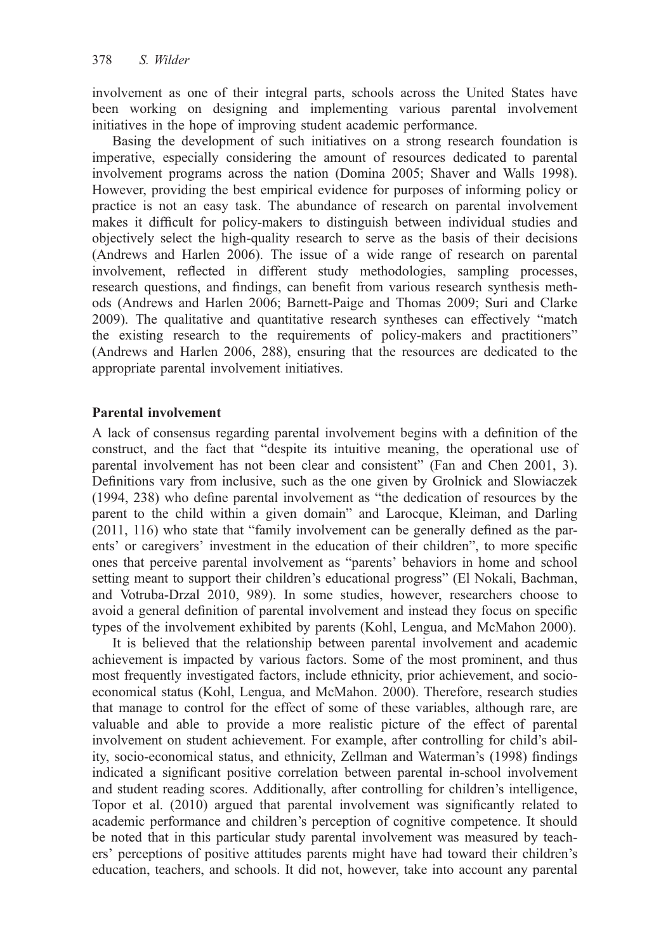involvement as one of their integral parts, schools across the United States have been working on designing and implementing various parental involvement initiatives in the hope of improving student academic performance.

Basing the development of such initiatives on a strong research foundation is imperative, especially considering the amount of resources dedicated to parental involvement programs across the nation (Domina 2005; Shaver and Walls 1998). However, providing the best empirical evidence for purposes of informing policy or practice is not an easy task. The abundance of research on parental involvement makes it difficult for policy-makers to distinguish between individual studies and objectively select the high-quality research to serve as the basis of their decisions (Andrews and Harlen 2006). The issue of a wide range of research on parental involvement, reflected in different study methodologies, sampling processes, research questions, and findings, can benefit from various research synthesis methods (Andrews and Harlen 2006; Barnett-Paige and Thomas 2009; Suri and Clarke 2009). The qualitative and quantitative research syntheses can effectively "match the existing research to the requirements of policy-makers and practitioners" (Andrews and Harlen 2006, 288), ensuring that the resources are dedicated to the appropriate parental involvement initiatives.

# Parental involvement

A lack of consensus regarding parental involvement begins with a definition of the construct, and the fact that "despite its intuitive meaning, the operational use of parental involvement has not been clear and consistent" (Fan and Chen 2001, 3). Definitions vary from inclusive, such as the one given by Grolnick and Slowiaczek (1994, 238) who define parental involvement as "the dedication of resources by the parent to the child within a given domain" and Larocque, Kleiman, and Darling (2011, 116) who state that "family involvement can be generally defined as the parents' or caregivers' investment in the education of their children", to more specific ones that perceive parental involvement as "parents' behaviors in home and school setting meant to support their children's educational progress" (El Nokali, Bachman, and Votruba-Drzal 2010, 989). In some studies, however, researchers choose to avoid a general definition of parental involvement and instead they focus on specific types of the involvement exhibited by parents (Kohl, Lengua, and McMahon 2000).

It is believed that the relationship between parental involvement and academic achievement is impacted by various factors. Some of the most prominent, and thus most frequently investigated factors, include ethnicity, prior achievement, and socioeconomical status (Kohl, Lengua, and McMahon. 2000). Therefore, research studies that manage to control for the effect of some of these variables, although rare, are valuable and able to provide a more realistic picture of the effect of parental involvement on student achievement. For example, after controlling for child's ability, socio-economical status, and ethnicity, Zellman and Waterman's (1998) findings indicated a significant positive correlation between parental in-school involvement and student reading scores. Additionally, after controlling for children's intelligence, Topor et al. (2010) argued that parental involvement was significantly related to academic performance and children's perception of cognitive competence. It should be noted that in this particular study parental involvement was measured by teachers' perceptions of positive attitudes parents might have had toward their children's education, teachers, and schools. It did not, however, take into account any parental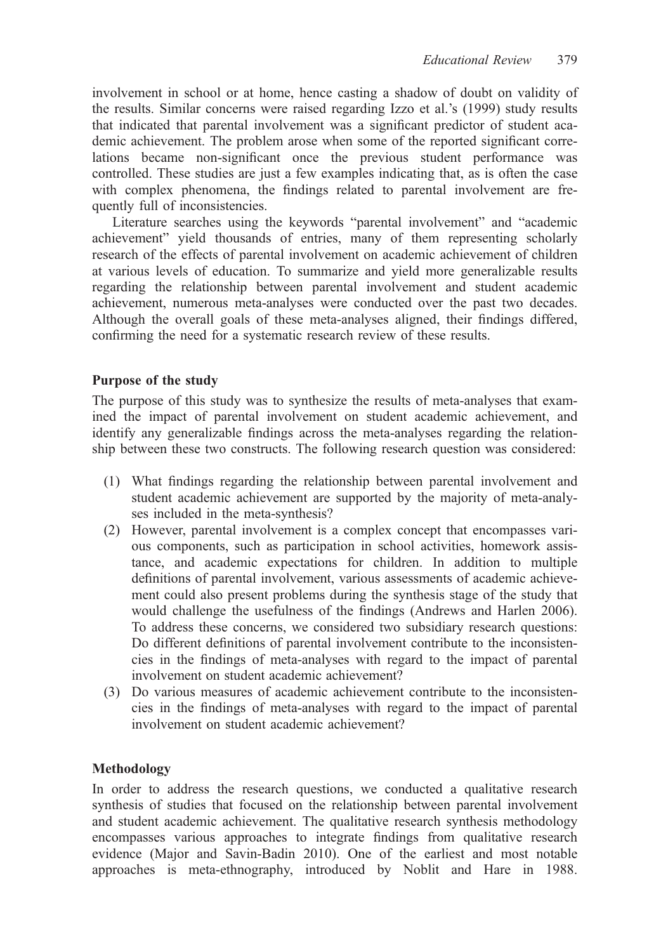involvement in school or at home, hence casting a shadow of doubt on validity of the results. Similar concerns were raised regarding Izzo et al.'s (1999) study results that indicated that parental involvement was a significant predictor of student academic achievement. The problem arose when some of the reported significant correlations became non-significant once the previous student performance was controlled. These studies are just a few examples indicating that, as is often the case with complex phenomena, the findings related to parental involvement are frequently full of inconsistencies.

Literature searches using the keywords "parental involvement" and "academic achievement" yield thousands of entries, many of them representing scholarly research of the effects of parental involvement on academic achievement of children at various levels of education. To summarize and yield more generalizable results regarding the relationship between parental involvement and student academic achievement, numerous meta-analyses were conducted over the past two decades. Although the overall goals of these meta-analyses aligned, their findings differed, confirming the need for a systematic research review of these results.

#### Purpose of the study

The purpose of this study was to synthesize the results of meta-analyses that examined the impact of parental involvement on student academic achievement, and identify any generalizable findings across the meta-analyses regarding the relationship between these two constructs. The following research question was considered:

- (1) What findings regarding the relationship between parental involvement and student academic achievement are supported by the majority of meta-analyses included in the meta-synthesis?
- (2) However, parental involvement is a complex concept that encompasses various components, such as participation in school activities, homework assistance, and academic expectations for children. In addition to multiple definitions of parental involvement, various assessments of academic achievement could also present problems during the synthesis stage of the study that would challenge the usefulness of the findings (Andrews and Harlen 2006). To address these concerns, we considered two subsidiary research questions: Do different definitions of parental involvement contribute to the inconsistencies in the findings of meta-analyses with regard to the impact of parental involvement on student academic achievement?
- (3) Do various measures of academic achievement contribute to the inconsistencies in the findings of meta-analyses with regard to the impact of parental involvement on student academic achievement?

#### Methodology

In order to address the research questions, we conducted a qualitative research synthesis of studies that focused on the relationship between parental involvement and student academic achievement. The qualitative research synthesis methodology encompasses various approaches to integrate findings from qualitative research evidence (Major and Savin-Badin 2010). One of the earliest and most notable approaches is meta-ethnography, introduced by Noblit and Hare in 1988.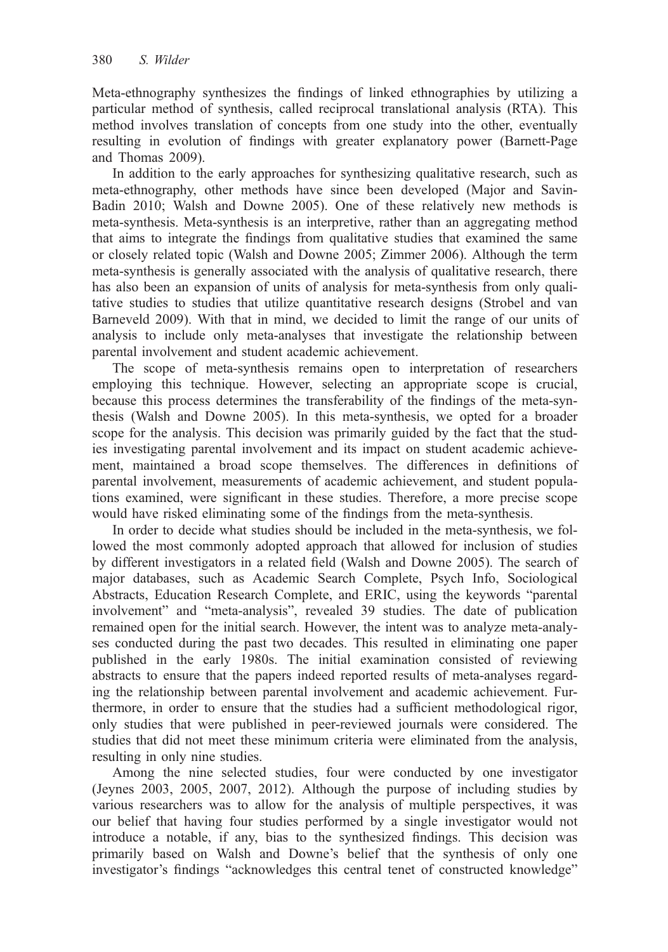Meta-ethnography synthesizes the findings of linked ethnographies by utilizing a particular method of synthesis, called reciprocal translational analysis (RTA). This method involves translation of concepts from one study into the other, eventually resulting in evolution of findings with greater explanatory power (Barnett-Page and Thomas 2009).

In addition to the early approaches for synthesizing qualitative research, such as meta-ethnography, other methods have since been developed (Major and Savin-Badin 2010; Walsh and Downe 2005). One of these relatively new methods is meta-synthesis. Meta-synthesis is an interpretive, rather than an aggregating method that aims to integrate the findings from qualitative studies that examined the same or closely related topic (Walsh and Downe 2005; Zimmer 2006). Although the term meta-synthesis is generally associated with the analysis of qualitative research, there has also been an expansion of units of analysis for meta-synthesis from only qualitative studies to studies that utilize quantitative research designs (Strobel and van Barneveld 2009). With that in mind, we decided to limit the range of our units of analysis to include only meta-analyses that investigate the relationship between parental involvement and student academic achievement.

The scope of meta-synthesis remains open to interpretation of researchers employing this technique. However, selecting an appropriate scope is crucial, because this process determines the transferability of the findings of the meta-synthesis (Walsh and Downe 2005). In this meta-synthesis, we opted for a broader scope for the analysis. This decision was primarily guided by the fact that the studies investigating parental involvement and its impact on student academic achievement, maintained a broad scope themselves. The differences in definitions of parental involvement, measurements of academic achievement, and student populations examined, were significant in these studies. Therefore, a more precise scope would have risked eliminating some of the findings from the meta-synthesis.

In order to decide what studies should be included in the meta-synthesis, we followed the most commonly adopted approach that allowed for inclusion of studies by different investigators in a related field (Walsh and Downe 2005). The search of major databases, such as Academic Search Complete, Psych Info, Sociological Abstracts, Education Research Complete, and ERIC, using the keywords "parental involvement" and "meta-analysis", revealed 39 studies. The date of publication remained open for the initial search. However, the intent was to analyze meta-analyses conducted during the past two decades. This resulted in eliminating one paper published in the early 1980s. The initial examination consisted of reviewing abstracts to ensure that the papers indeed reported results of meta-analyses regarding the relationship between parental involvement and academic achievement. Furthermore, in order to ensure that the studies had a sufficient methodological rigor, only studies that were published in peer-reviewed journals were considered. The studies that did not meet these minimum criteria were eliminated from the analysis, resulting in only nine studies.

Among the nine selected studies, four were conducted by one investigator (Jeynes 2003, 2005, 2007, 2012). Although the purpose of including studies by various researchers was to allow for the analysis of multiple perspectives, it was our belief that having four studies performed by a single investigator would not introduce a notable, if any, bias to the synthesized findings. This decision was primarily based on Walsh and Downe's belief that the synthesis of only one investigator's findings "acknowledges this central tenet of constructed knowledge"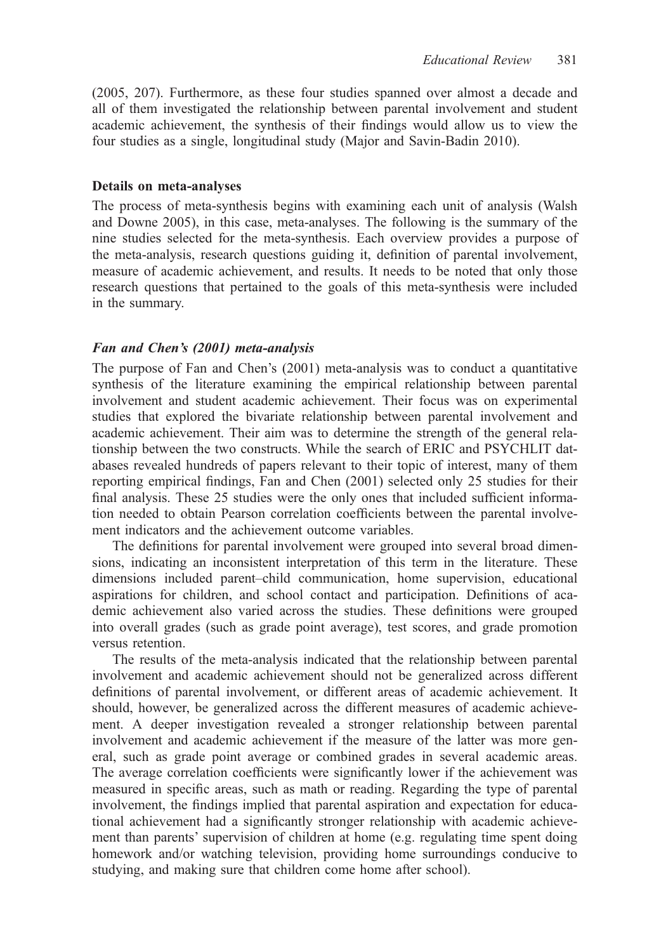(2005, 207). Furthermore, as these four studies spanned over almost a decade and all of them investigated the relationship between parental involvement and student academic achievement, the synthesis of their findings would allow us to view the four studies as a single, longitudinal study (Major and Savin-Badin 2010).

#### Details on meta-analyses

The process of meta-synthesis begins with examining each unit of analysis (Walsh and Downe 2005), in this case, meta-analyses. The following is the summary of the nine studies selected for the meta-synthesis. Each overview provides a purpose of the meta-analysis, research questions guiding it, definition of parental involvement, measure of academic achievement, and results. It needs to be noted that only those research questions that pertained to the goals of this meta-synthesis were included in the summary.

#### Fan and Chen's (2001) meta-analysis

The purpose of Fan and Chen's (2001) meta-analysis was to conduct a quantitative synthesis of the literature examining the empirical relationship between parental involvement and student academic achievement. Their focus was on experimental studies that explored the bivariate relationship between parental involvement and academic achievement. Their aim was to determine the strength of the general relationship between the two constructs. While the search of ERIC and PSYCHLIT databases revealed hundreds of papers relevant to their topic of interest, many of them reporting empirical findings, Fan and Chen (2001) selected only 25 studies for their final analysis. These 25 studies were the only ones that included sufficient information needed to obtain Pearson correlation coefficients between the parental involvement indicators and the achievement outcome variables.

The definitions for parental involvement were grouped into several broad dimensions, indicating an inconsistent interpretation of this term in the literature. These dimensions included parent–child communication, home supervision, educational aspirations for children, and school contact and participation. Definitions of academic achievement also varied across the studies. These definitions were grouped into overall grades (such as grade point average), test scores, and grade promotion versus retention.

The results of the meta-analysis indicated that the relationship between parental involvement and academic achievement should not be generalized across different definitions of parental involvement, or different areas of academic achievement. It should, however, be generalized across the different measures of academic achievement. A deeper investigation revealed a stronger relationship between parental involvement and academic achievement if the measure of the latter was more general, such as grade point average or combined grades in several academic areas. The average correlation coefficients were significantly lower if the achievement was measured in specific areas, such as math or reading. Regarding the type of parental involvement, the findings implied that parental aspiration and expectation for educational achievement had a significantly stronger relationship with academic achievement than parents' supervision of children at home (e.g. regulating time spent doing homework and/or watching television, providing home surroundings conducive to studying, and making sure that children come home after school).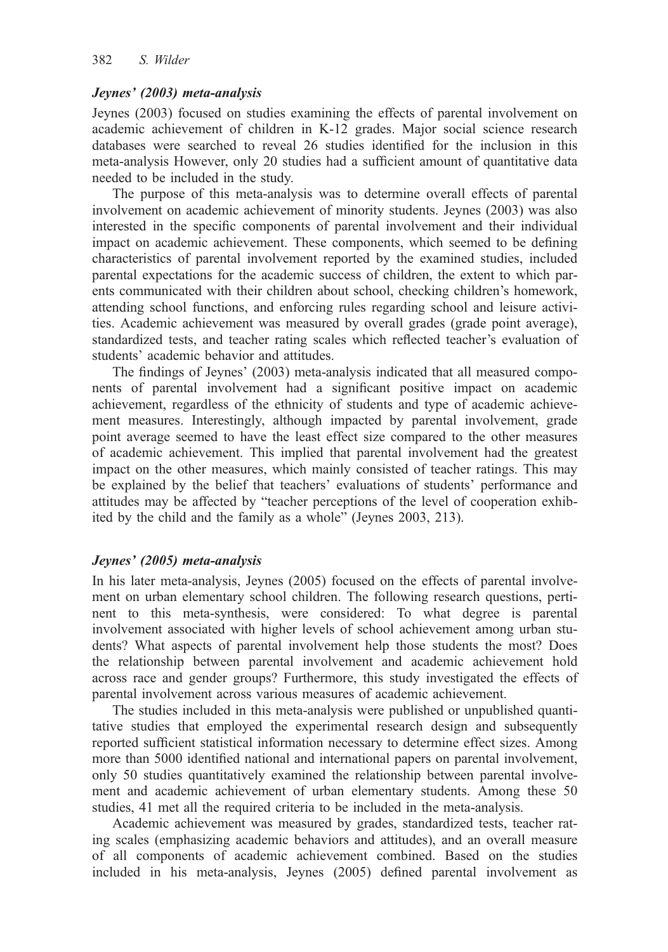#### Jeynes' (2003) meta-analysis

Jeynes (2003) focused on studies examining the effects of parental involvement on academic achievement of children in K-12 grades. Major social science research databases were searched to reveal 26 studies identified for the inclusion in this meta-analysis However, only 20 studies had a sufficient amount of quantitative data needed to be included in the study.

The purpose of this meta-analysis was to determine overall effects of parental involvement on academic achievement of minority students. Jeynes (2003) was also interested in the specific components of parental involvement and their individual impact on academic achievement. These components, which seemed to be defining characteristics of parental involvement reported by the examined studies, included parental expectations for the academic success of children, the extent to which parents communicated with their children about school, checking children's homework, attending school functions, and enforcing rules regarding school and leisure activities. Academic achievement was measured by overall grades (grade point average), standardized tests, and teacher rating scales which reflected teacher's evaluation of students' academic behavior and attitudes.

The findings of Jeynes' (2003) meta-analysis indicated that all measured components of parental involvement had a significant positive impact on academic achievement, regardless of the ethnicity of students and type of academic achievement measures. Interestingly, although impacted by parental involvement, grade point average seemed to have the least effect size compared to the other measures of academic achievement. This implied that parental involvement had the greatest impact on the other measures, which mainly consisted of teacher ratings. This may be explained by the belief that teachers' evaluations of students' performance and attitudes may be affected by "teacher perceptions of the level of cooperation exhibited by the child and the family as a whole" (Jeynes 2003, 213).

# Jeynes' (2005) meta-analysis

In his later meta-analysis, Jeynes (2005) focused on the effects of parental involvement on urban elementary school children. The following research questions, pertinent to this meta-synthesis, were considered: To what degree is parental involvement associated with higher levels of school achievement among urban students? What aspects of parental involvement help those students the most? Does the relationship between parental involvement and academic achievement hold across race and gender groups? Furthermore, this study investigated the effects of parental involvement across various measures of academic achievement.

The studies included in this meta-analysis were published or unpublished quantitative studies that employed the experimental research design and subsequently reported sufficient statistical information necessary to determine effect sizes. Among more than 5000 identified national and international papers on parental involvement, only 50 studies quantitatively examined the relationship between parental involvement and academic achievement of urban elementary students. Among these 50 studies, 41 met all the required criteria to be included in the meta-analysis.

Academic achievement was measured by grades, standardized tests, teacher rating scales (emphasizing academic behaviors and attitudes), and an overall measure of all components of academic achievement combined. Based on the studies included in his meta-analysis, Jeynes (2005) defined parental involvement as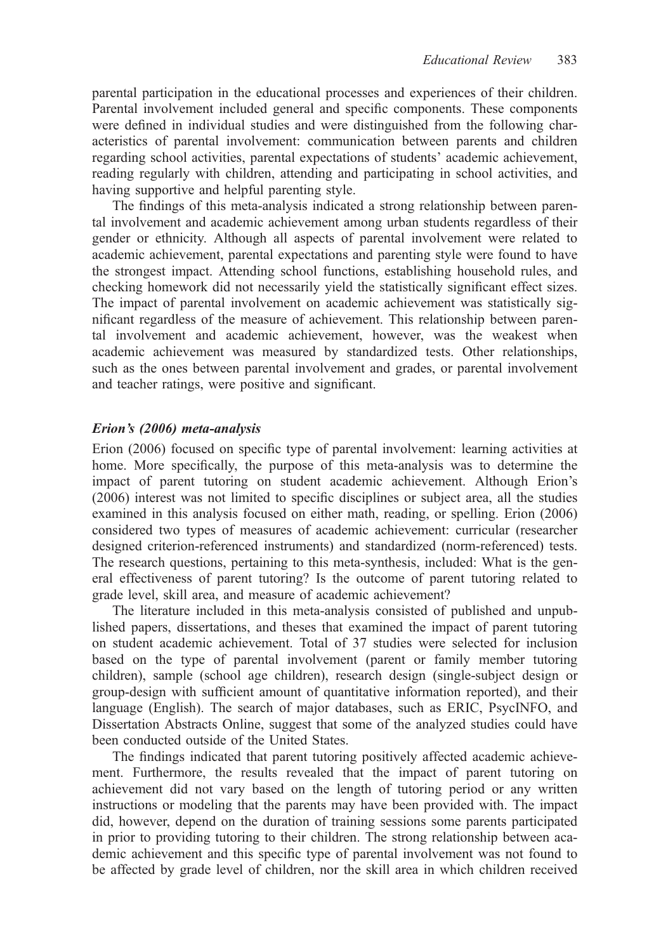parental participation in the educational processes and experiences of their children. Parental involvement included general and specific components. These components were defined in individual studies and were distinguished from the following characteristics of parental involvement: communication between parents and children regarding school activities, parental expectations of students' academic achievement, reading regularly with children, attending and participating in school activities, and having supportive and helpful parenting style.

The findings of this meta-analysis indicated a strong relationship between parental involvement and academic achievement among urban students regardless of their gender or ethnicity. Although all aspects of parental involvement were related to academic achievement, parental expectations and parenting style were found to have the strongest impact. Attending school functions, establishing household rules, and checking homework did not necessarily yield the statistically significant effect sizes. The impact of parental involvement on academic achievement was statistically significant regardless of the measure of achievement. This relationship between parental involvement and academic achievement, however, was the weakest when academic achievement was measured by standardized tests. Other relationships, such as the ones between parental involvement and grades, or parental involvement and teacher ratings, were positive and significant.

#### Erion's (2006) meta-analysis

Erion (2006) focused on specific type of parental involvement: learning activities at home. More specifically, the purpose of this meta-analysis was to determine the impact of parent tutoring on student academic achievement. Although Erion's (2006) interest was not limited to specific disciplines or subject area, all the studies examined in this analysis focused on either math, reading, or spelling. Erion (2006) considered two types of measures of academic achievement: curricular (researcher designed criterion-referenced instruments) and standardized (norm-referenced) tests. The research questions, pertaining to this meta-synthesis, included: What is the general effectiveness of parent tutoring? Is the outcome of parent tutoring related to grade level, skill area, and measure of academic achievement?

The literature included in this meta-analysis consisted of published and unpublished papers, dissertations, and theses that examined the impact of parent tutoring on student academic achievement. Total of 37 studies were selected for inclusion based on the type of parental involvement (parent or family member tutoring children), sample (school age children), research design (single-subject design or group-design with sufficient amount of quantitative information reported), and their language (English). The search of major databases, such as ERIC, PsycINFO, and Dissertation Abstracts Online, suggest that some of the analyzed studies could have been conducted outside of the United States.

The findings indicated that parent tutoring positively affected academic achievement. Furthermore, the results revealed that the impact of parent tutoring on achievement did not vary based on the length of tutoring period or any written instructions or modeling that the parents may have been provided with. The impact did, however, depend on the duration of training sessions some parents participated in prior to providing tutoring to their children. The strong relationship between academic achievement and this specific type of parental involvement was not found to be affected by grade level of children, nor the skill area in which children received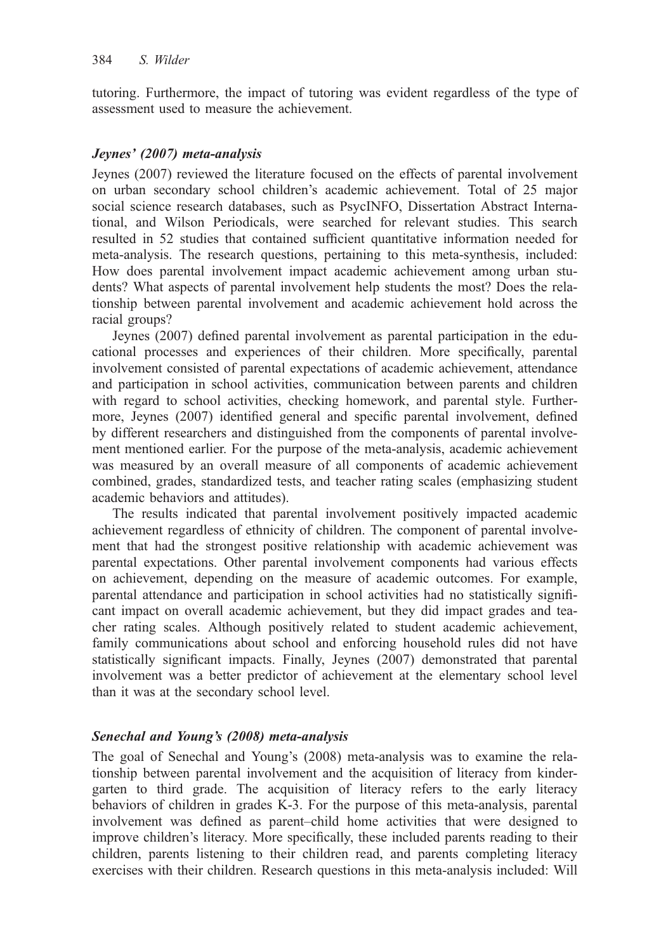tutoring. Furthermore, the impact of tutoring was evident regardless of the type of assessment used to measure the achievement.

# Jeynes' (2007) meta-analysis

Jeynes (2007) reviewed the literature focused on the effects of parental involvement on urban secondary school children's academic achievement. Total of 25 major social science research databases, such as PsycINFO, Dissertation Abstract International, and Wilson Periodicals, were searched for relevant studies. This search resulted in 52 studies that contained sufficient quantitative information needed for meta-analysis. The research questions, pertaining to this meta-synthesis, included: How does parental involvement impact academic achievement among urban students? What aspects of parental involvement help students the most? Does the relationship between parental involvement and academic achievement hold across the racial groups?

Jeynes (2007) defined parental involvement as parental participation in the educational processes and experiences of their children. More specifically, parental involvement consisted of parental expectations of academic achievement, attendance and participation in school activities, communication between parents and children with regard to school activities, checking homework, and parental style. Furthermore, Jeynes (2007) identified general and specific parental involvement, defined by different researchers and distinguished from the components of parental involvement mentioned earlier. For the purpose of the meta-analysis, academic achievement was measured by an overall measure of all components of academic achievement combined, grades, standardized tests, and teacher rating scales (emphasizing student academic behaviors and attitudes).

The results indicated that parental involvement positively impacted academic achievement regardless of ethnicity of children. The component of parental involvement that had the strongest positive relationship with academic achievement was parental expectations. Other parental involvement components had various effects on achievement, depending on the measure of academic outcomes. For example, parental attendance and participation in school activities had no statistically significant impact on overall academic achievement, but they did impact grades and teacher rating scales. Although positively related to student academic achievement, family communications about school and enforcing household rules did not have statistically significant impacts. Finally, Jeynes (2007) demonstrated that parental involvement was a better predictor of achievement at the elementary school level than it was at the secondary school level.

# Senechal and Young's (2008) meta-analysis

The goal of Senechal and Young's (2008) meta-analysis was to examine the relationship between parental involvement and the acquisition of literacy from kindergarten to third grade. The acquisition of literacy refers to the early literacy behaviors of children in grades K-3. For the purpose of this meta-analysis, parental involvement was defined as parent–child home activities that were designed to improve children's literacy. More specifically, these included parents reading to their children, parents listening to their children read, and parents completing literacy exercises with their children. Research questions in this meta-analysis included: Will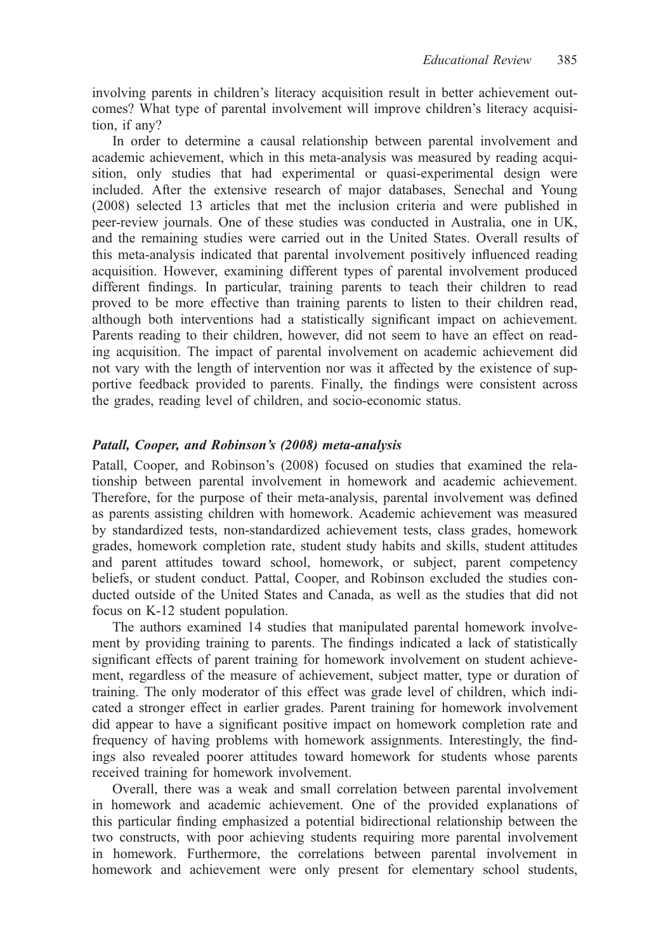involving parents in children's literacy acquisition result in better achievement outcomes? What type of parental involvement will improve children's literacy acquisition, if any?

In order to determine a causal relationship between parental involvement and academic achievement, which in this meta-analysis was measured by reading acquisition, only studies that had experimental or quasi-experimental design were included. After the extensive research of major databases, Senechal and Young (2008) selected 13 articles that met the inclusion criteria and were published in peer-review journals. One of these studies was conducted in Australia, one in UK, and the remaining studies were carried out in the United States. Overall results of this meta-analysis indicated that parental involvement positively influenced reading acquisition. However, examining different types of parental involvement produced different findings. In particular, training parents to teach their children to read proved to be more effective than training parents to listen to their children read, although both interventions had a statistically significant impact on achievement. Parents reading to their children, however, did not seem to have an effect on reading acquisition. The impact of parental involvement on academic achievement did not vary with the length of intervention nor was it affected by the existence of supportive feedback provided to parents. Finally, the findings were consistent across the grades, reading level of children, and socio-economic status.

#### Patall, Cooper, and Robinson's (2008) meta-analysis

Patall, Cooper, and Robinson's (2008) focused on studies that examined the relationship between parental involvement in homework and academic achievement. Therefore, for the purpose of their meta-analysis, parental involvement was defined as parents assisting children with homework. Academic achievement was measured by standardized tests, non-standardized achievement tests, class grades, homework grades, homework completion rate, student study habits and skills, student attitudes and parent attitudes toward school, homework, or subject, parent competency beliefs, or student conduct. Pattal, Cooper, and Robinson excluded the studies conducted outside of the United States and Canada, as well as the studies that did not focus on K-12 student population.

The authors examined 14 studies that manipulated parental homework involvement by providing training to parents. The findings indicated a lack of statistically significant effects of parent training for homework involvement on student achievement, regardless of the measure of achievement, subject matter, type or duration of training. The only moderator of this effect was grade level of children, which indicated a stronger effect in earlier grades. Parent training for homework involvement did appear to have a significant positive impact on homework completion rate and frequency of having problems with homework assignments. Interestingly, the findings also revealed poorer attitudes toward homework for students whose parents received training for homework involvement.

Overall, there was a weak and small correlation between parental involvement in homework and academic achievement. One of the provided explanations of this particular finding emphasized a potential bidirectional relationship between the two constructs, with poor achieving students requiring more parental involvement in homework. Furthermore, the correlations between parental involvement in homework and achievement were only present for elementary school students,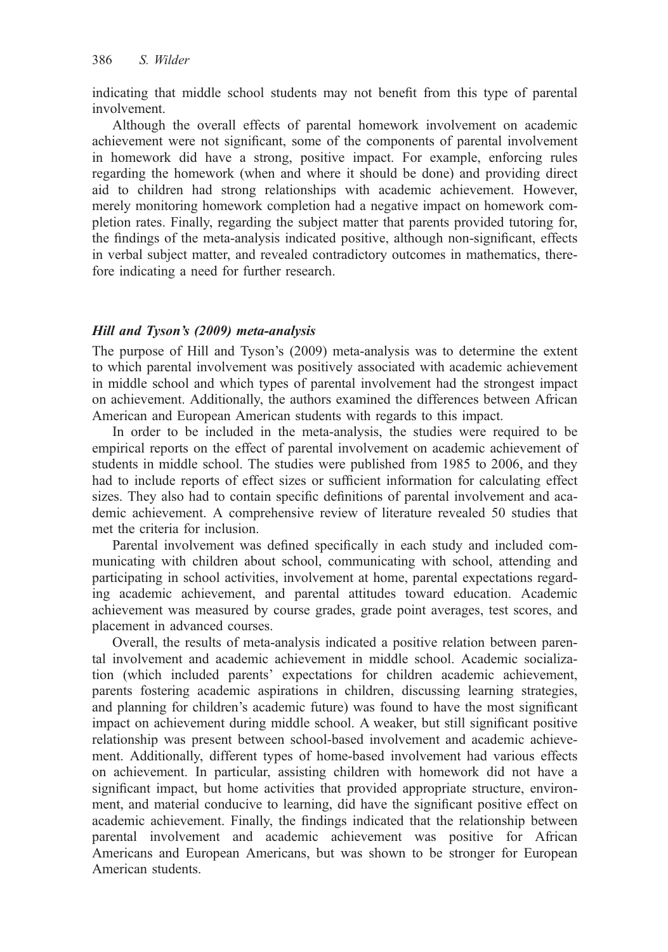indicating that middle school students may not benefit from this type of parental involvement.

Although the overall effects of parental homework involvement on academic achievement were not significant, some of the components of parental involvement in homework did have a strong, positive impact. For example, enforcing rules regarding the homework (when and where it should be done) and providing direct aid to children had strong relationships with academic achievement. However, merely monitoring homework completion had a negative impact on homework completion rates. Finally, regarding the subject matter that parents provided tutoring for, the findings of the meta-analysis indicated positive, although non-significant, effects in verbal subject matter, and revealed contradictory outcomes in mathematics, therefore indicating a need for further research.

#### Hill and Tyson's (2009) meta-analysis

The purpose of Hill and Tyson's (2009) meta-analysis was to determine the extent to which parental involvement was positively associated with academic achievement in middle school and which types of parental involvement had the strongest impact on achievement. Additionally, the authors examined the differences between African American and European American students with regards to this impact.

In order to be included in the meta-analysis, the studies were required to be empirical reports on the effect of parental involvement on academic achievement of students in middle school. The studies were published from 1985 to 2006, and they had to include reports of effect sizes or sufficient information for calculating effect sizes. They also had to contain specific definitions of parental involvement and academic achievement. A comprehensive review of literature revealed 50 studies that met the criteria for inclusion.

Parental involvement was defined specifically in each study and included communicating with children about school, communicating with school, attending and participating in school activities, involvement at home, parental expectations regarding academic achievement, and parental attitudes toward education. Academic achievement was measured by course grades, grade point averages, test scores, and placement in advanced courses.

Overall, the results of meta-analysis indicated a positive relation between parental involvement and academic achievement in middle school. Academic socialization (which included parents' expectations for children academic achievement, parents fostering academic aspirations in children, discussing learning strategies, and planning for children's academic future) was found to have the most significant impact on achievement during middle school. A weaker, but still significant positive relationship was present between school-based involvement and academic achievement. Additionally, different types of home-based involvement had various effects on achievement. In particular, assisting children with homework did not have a significant impact, but home activities that provided appropriate structure, environment, and material conducive to learning, did have the significant positive effect on academic achievement. Finally, the findings indicated that the relationship between parental involvement and academic achievement was positive for African Americans and European Americans, but was shown to be stronger for European American students.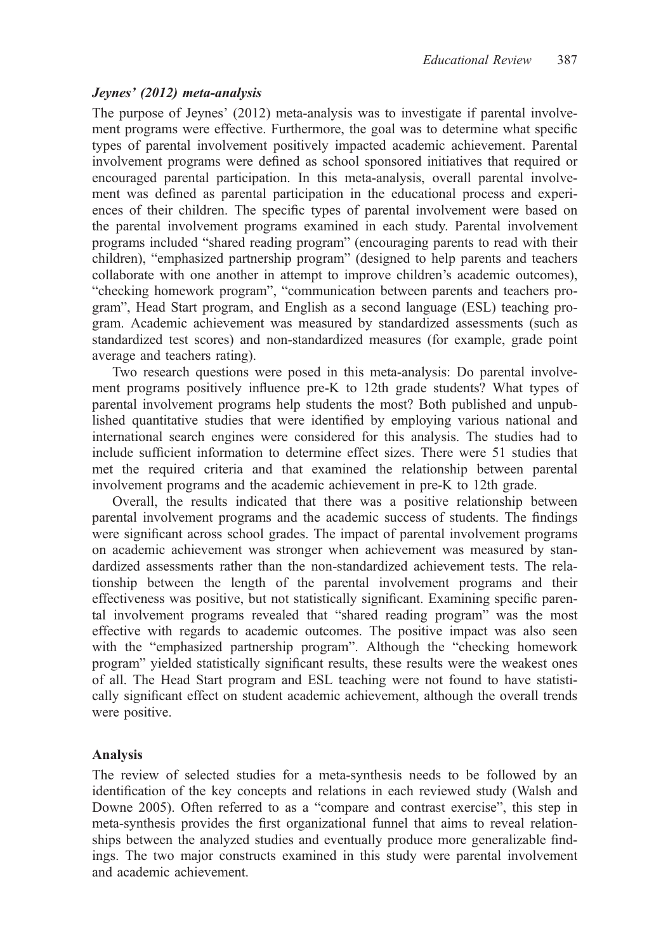#### Jeynes' (2012) meta-analysis

The purpose of Jeynes' (2012) meta-analysis was to investigate if parental involvement programs were effective. Furthermore, the goal was to determine what specific types of parental involvement positively impacted academic achievement. Parental involvement programs were defined as school sponsored initiatives that required or encouraged parental participation. In this meta-analysis, overall parental involvement was defined as parental participation in the educational process and experiences of their children. The specific types of parental involvement were based on the parental involvement programs examined in each study. Parental involvement programs included "shared reading program" (encouraging parents to read with their children), "emphasized partnership program" (designed to help parents and teachers collaborate with one another in attempt to improve children's academic outcomes), "checking homework program", "communication between parents and teachers program", Head Start program, and English as a second language (ESL) teaching program. Academic achievement was measured by standardized assessments (such as standardized test scores) and non-standardized measures (for example, grade point average and teachers rating).

Two research questions were posed in this meta-analysis: Do parental involvement programs positively influence pre-K to 12th grade students? What types of parental involvement programs help students the most? Both published and unpublished quantitative studies that were identified by employing various national and international search engines were considered for this analysis. The studies had to include sufficient information to determine effect sizes. There were 51 studies that met the required criteria and that examined the relationship between parental involvement programs and the academic achievement in pre-K to 12th grade.

Overall, the results indicated that there was a positive relationship between parental involvement programs and the academic success of students. The findings were significant across school grades. The impact of parental involvement programs on academic achievement was stronger when achievement was measured by standardized assessments rather than the non-standardized achievement tests. The relationship between the length of the parental involvement programs and their effectiveness was positive, but not statistically significant. Examining specific parental involvement programs revealed that "shared reading program" was the most effective with regards to academic outcomes. The positive impact was also seen with the "emphasized partnership program". Although the "checking homework program" yielded statistically significant results, these results were the weakest ones of all. The Head Start program and ESL teaching were not found to have statistically significant effect on student academic achievement, although the overall trends were positive.

# Analysis

The review of selected studies for a meta-synthesis needs to be followed by an identification of the key concepts and relations in each reviewed study (Walsh and Downe 2005). Often referred to as a "compare and contrast exercise", this step in meta-synthesis provides the first organizational funnel that aims to reveal relationships between the analyzed studies and eventually produce more generalizable findings. The two major constructs examined in this study were parental involvement and academic achievement.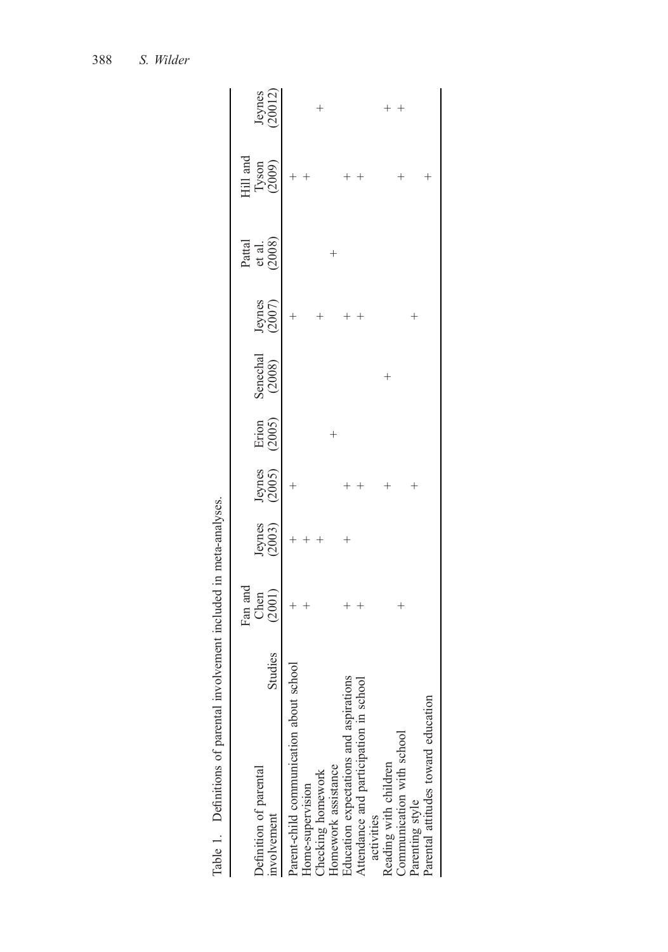| Table 1. Definitions of parental involvement included in meta-analyses. |                           |                  |                    |                 |                    |                  |                            |                                 |                   |
|-------------------------------------------------------------------------|---------------------------|------------------|--------------------|-----------------|--------------------|------------------|----------------------------|---------------------------------|-------------------|
| Studies<br>Definition of parental<br>involvement                        | Fan and<br>Chen<br>(2001) | Jeynes<br>(2003) | Jeynes<br>$(2005)$ | Erion<br>(2005) | Senechal<br>(2008) | Jeynes<br>(2007) | Pattal<br>et al.<br>(2008) | Hill and<br>$Tyson$<br>$(2009)$ | Jeynes<br>(20012) |
| Parent-child communication about school                                 |                           |                  |                    |                 |                    |                  |                            |                                 |                   |
| Home-supervision                                                        |                           |                  |                    |                 |                    |                  |                            |                                 |                   |
| Checking homework                                                       |                           |                  |                    |                 |                    |                  |                            |                                 | $^{+}$            |
| Homework assistance                                                     |                           |                  |                    | $^{+}$          |                    |                  |                            |                                 |                   |
| Education expectations and aspirations                                  |                           |                  |                    |                 |                    |                  |                            |                                 |                   |
| Attendance and participation in school                                  |                           |                  |                    |                 |                    |                  |                            |                                 |                   |
| activities                                                              |                           |                  |                    |                 |                    |                  |                            |                                 |                   |
| Reading with children                                                   |                           |                  |                    |                 | $^+$               |                  |                            |                                 |                   |
| Communication with school                                               | $\,{}^{+}\,$              |                  |                    |                 |                    |                  |                            |                                 | $^+$              |
| Parenting style                                                         |                           |                  |                    |                 |                    | $^+$             |                            |                                 |                   |
| Parental attitudes toward education                                     |                           |                  |                    |                 |                    |                  |                            | $^{+}$                          |                   |
|                                                                         |                           |                  |                    |                 |                    |                  |                            |                                 |                   |

| ֡֡֡<br>n mata a<br>י<br>י                                         |  |
|-------------------------------------------------------------------|--|
|                                                                   |  |
| $\sim$                                                            |  |
| ֕                                                                 |  |
| ֚֚֚֡֕<br>ł<br>֖֖֖֖֖֧֖֧֪֪ׅ֧֚֚֚֚֚֚֚֚֚֚֚֚֚֚֚֚֚֚֚֚֚֚֚֚֚֚֚֚֚֚֬֝֓֞֝֓֞֝֬ |  |
| I                                                                 |  |
| くくら<br>$\frac{1}{2}$<br>l                                         |  |
| ï                                                                 |  |
| I<br>֧֧֧ׅ֧֚֚֚֚֚֚֚֚֚֚֚֚֚֚֚֚֚֚֚֚֚֚֚֚֚֚֚֚֚֚֚֚֝֜<br>I                 |  |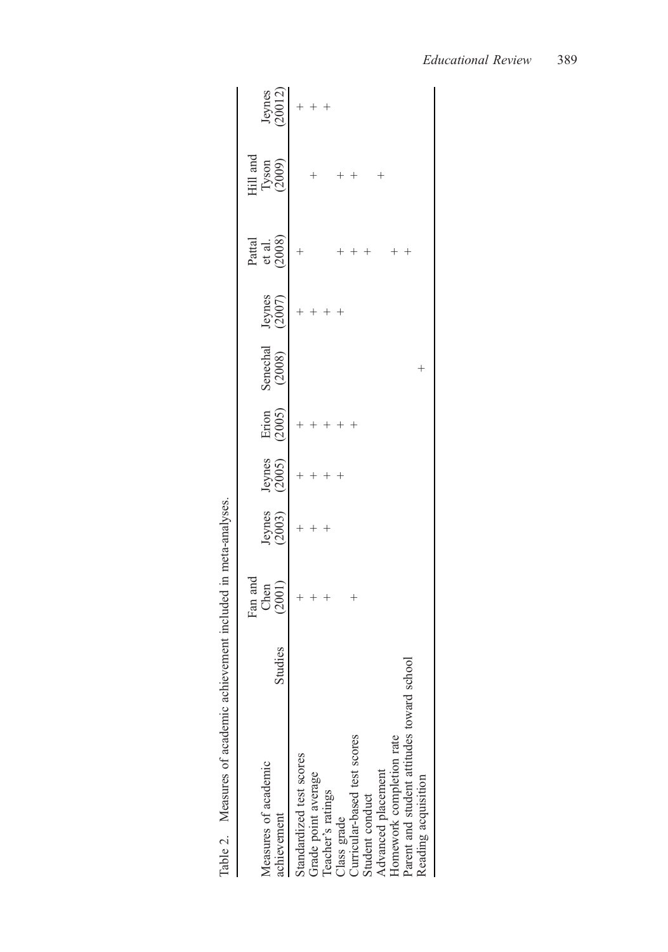| Measures of academic<br>achievement                                                                                                                                                                                                                    | tudies | Fan and<br>Chen<br>(2001) | Jeynes<br>(2003) | Jeynes<br>(2005) | Erion<br>2005) | Senechal<br>(2008) | Jeynes<br>(2007) | Pattal<br>et al.<br>(2008) | $\begin{array}{c} \textrm{Hill and}\\ \textrm{Tyson}\\ (2009) \end{array}$ | Jeynes<br>(20012) |
|--------------------------------------------------------------------------------------------------------------------------------------------------------------------------------------------------------------------------------------------------------|--------|---------------------------|------------------|------------------|----------------|--------------------|------------------|----------------------------|----------------------------------------------------------------------------|-------------------|
| Parent and student attitudes toward<br>Class grade<br>Curricular-based test scores<br>Homework completion rate<br>Standardized test scores<br>Advanced placement<br>Grade point average<br>Teacher's ratings<br>Reading acquisition<br>Student conduct |        |                           |                  |                  |                |                    |                  |                            |                                                                            |                   |

| irec of academic achievement included in meta-analyce<br>;<br>$\mathbf{I}$ |
|----------------------------------------------------------------------------|
| J<br>:<br>:                                                                |
|                                                                            |
| i<br>I<br>ו<br>ו<br>I                                                      |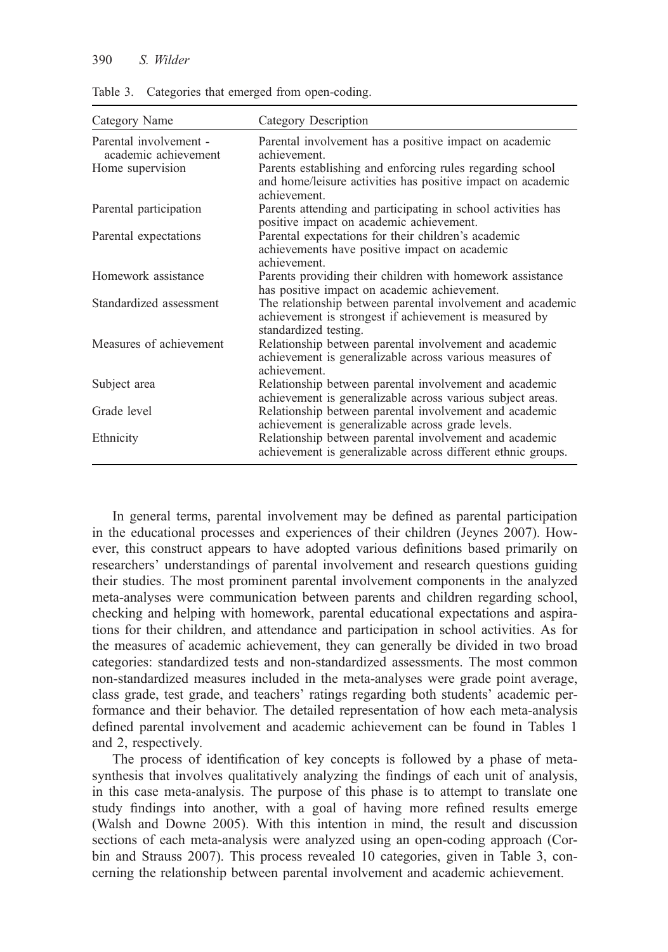| Category Name                                  | Category Description                                                                                                                          |
|------------------------------------------------|-----------------------------------------------------------------------------------------------------------------------------------------------|
| Parental involvement -<br>academic achievement | Parental involvement has a positive impact on academic<br>achievement.                                                                        |
| Home supervision                               | Parents establishing and enforcing rules regarding school<br>and home/leisure activities has positive impact on academic<br>achievement.      |
| Parental participation                         | Parents attending and participating in school activities has<br>positive impact on academic achievement.                                      |
| Parental expectations                          | Parental expectations for their children's academic<br>achievements have positive impact on academic<br>achievement.                          |
| Homework assistance                            | Parents providing their children with homework assistance<br>has positive impact on academic achievement.                                     |
| Standardized assessment                        | The relationship between parental involvement and academic<br>achievement is strongest if achievement is measured by<br>standardized testing. |
| Measures of achievement                        | Relationship between parental involvement and academic<br>achievement is generalizable across various measures of<br>achievement.             |
| Subject area                                   | Relationship between parental involvement and academic<br>achievement is generalizable across various subject areas.                          |
| Grade level                                    | Relationship between parental involvement and academic<br>achievement is generalizable across grade levels.                                   |
| Ethnicity                                      | Relationship between parental involvement and academic<br>achievement is generalizable across different ethnic groups.                        |

Table 3. Categories that emerged from open-coding.

In general terms, parental involvement may be defined as parental participation in the educational processes and experiences of their children (Jeynes 2007). However, this construct appears to have adopted various definitions based primarily on researchers' understandings of parental involvement and research questions guiding their studies. The most prominent parental involvement components in the analyzed meta-analyses were communication between parents and children regarding school, checking and helping with homework, parental educational expectations and aspirations for their children, and attendance and participation in school activities. As for the measures of academic achievement, they can generally be divided in two broad categories: standardized tests and non-standardized assessments. The most common non-standardized measures included in the meta-analyses were grade point average, class grade, test grade, and teachers' ratings regarding both students' academic performance and their behavior. The detailed representation of how each meta-analysis defined parental involvement and academic achievement can be found in Tables 1 and 2, respectively.

The process of identification of key concepts is followed by a phase of metasynthesis that involves qualitatively analyzing the findings of each unit of analysis, in this case meta-analysis. The purpose of this phase is to attempt to translate one study findings into another, with a goal of having more refined results emerge (Walsh and Downe 2005). With this intention in mind, the result and discussion sections of each meta-analysis were analyzed using an open-coding approach (Corbin and Strauss 2007). This process revealed 10 categories, given in Table 3, concerning the relationship between parental involvement and academic achievement.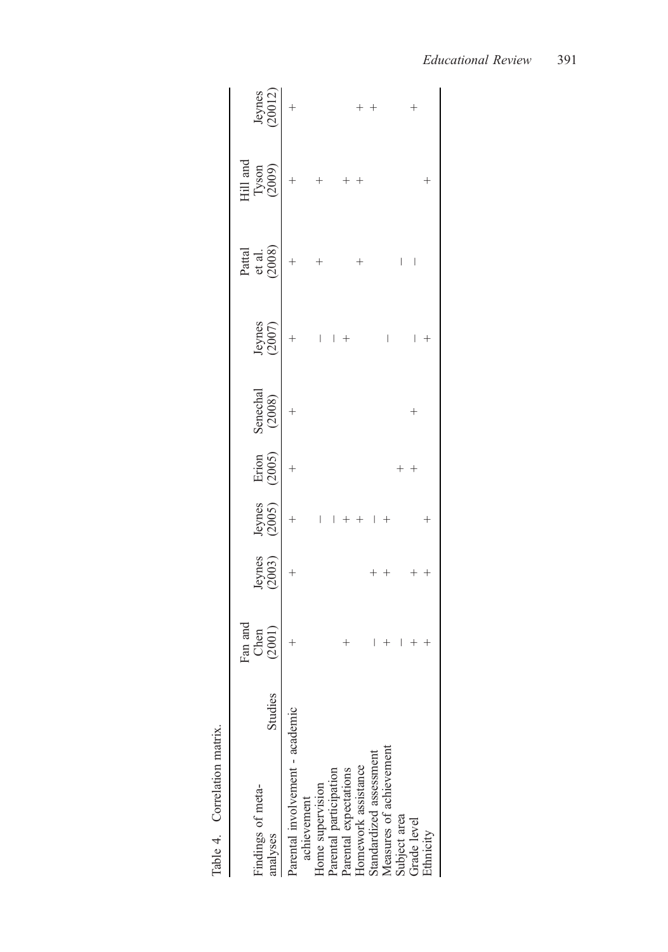| Table 4. Correlation matrix.    |         |                                                                          |                  |                  |                 |                    |                                |                                |                                                                       |                   |
|---------------------------------|---------|--------------------------------------------------------------------------|------------------|------------------|-----------------|--------------------|--------------------------------|--------------------------------|-----------------------------------------------------------------------|-------------------|
| Findings of meta-<br>analyses   | Studies | $\begin{array}{c} \rm{Fan\ and} \\ \rm{Chen} \\ \rm{(2001)} \end{array}$ | Jeynes<br>(2003) | Jeynes<br>(2005) | Erion<br>(2005) | Senechal<br>(2008) | Jeynes<br>(2007)               | Pattal<br>et al.<br>(2008)     | $\begin{array}{c} \rm Hill\;and\\ \rm Tyson\\ \rm (2009) \end{array}$ | Jeynes<br>(20012) |
| Parental involvement - academic |         |                                                                          | $^{+}$           | $^{+}$           |                 |                    |                                |                                |                                                                       | $^{+}$            |
| Home supervision<br>achievement |         |                                                                          |                  |                  |                 |                    | $\begin{array}{c} \end{array}$ | $^{+}$                         |                                                                       |                   |
| Parental participation          |         |                                                                          |                  |                  |                 |                    | $+$                            |                                |                                                                       |                   |
| Parental expectations           |         |                                                                          |                  |                  |                 |                    |                                |                                |                                                                       |                   |
| Homework assistance             |         |                                                                          |                  |                  |                 |                    |                                |                                |                                                                       |                   |
| Standardized assessment         |         |                                                                          |                  |                  |                 |                    |                                |                                |                                                                       |                   |
| Measures of achievement         |         |                                                                          |                  |                  |                 |                    |                                |                                |                                                                       |                   |
| Subject area<br>Grade level     |         |                                                                          |                  |                  |                 |                    |                                | I                              |                                                                       |                   |
|                                 |         |                                                                          |                  |                  |                 | $^+$               | $\mid$                         | $\begin{array}{c} \end{array}$ |                                                                       | $\,{}^{+}\,$      |
| Ethnicity                       |         |                                                                          |                  | $^+$             |                 |                    | $^{+}$                         |                                | $^{+}$                                                                |                   |
|                                 |         |                                                                          |                  |                  |                 |                    |                                |                                |                                                                       |                   |

| matrix.     |  |
|-------------|--|
| Correlation |  |
| 4           |  |
| Table       |  |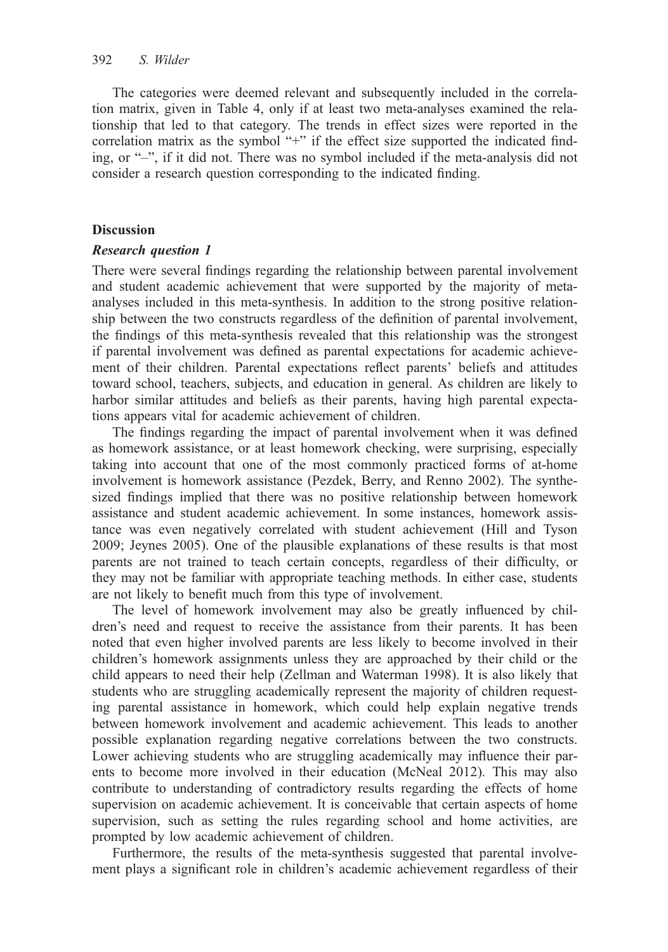The categories were deemed relevant and subsequently included in the correlation matrix, given in Table 4, only if at least two meta-analyses examined the relationship that led to that category. The trends in effect sizes were reported in the correlation matrix as the symbol "+" if the effect size supported the indicated finding, or "–", if it did not. There was no symbol included if the meta-analysis did not consider a research question corresponding to the indicated finding.

#### **Discussion**

#### Research question 1

There were several findings regarding the relationship between parental involvement and student academic achievement that were supported by the majority of metaanalyses included in this meta-synthesis. In addition to the strong positive relationship between the two constructs regardless of the definition of parental involvement, the findings of this meta-synthesis revealed that this relationship was the strongest if parental involvement was defined as parental expectations for academic achievement of their children. Parental expectations reflect parents' beliefs and attitudes toward school, teachers, subjects, and education in general. As children are likely to harbor similar attitudes and beliefs as their parents, having high parental expectations appears vital for academic achievement of children.

The findings regarding the impact of parental involvement when it was defined as homework assistance, or at least homework checking, were surprising, especially taking into account that one of the most commonly practiced forms of at-home involvement is homework assistance (Pezdek, Berry, and Renno 2002). The synthesized findings implied that there was no positive relationship between homework assistance and student academic achievement. In some instances, homework assistance was even negatively correlated with student achievement (Hill and Tyson 2009; Jeynes 2005). One of the plausible explanations of these results is that most parents are not trained to teach certain concepts, regardless of their difficulty, or they may not be familiar with appropriate teaching methods. In either case, students are not likely to benefit much from this type of involvement.

The level of homework involvement may also be greatly influenced by children's need and request to receive the assistance from their parents. It has been noted that even higher involved parents are less likely to become involved in their children's homework assignments unless they are approached by their child or the child appears to need their help (Zellman and Waterman 1998). It is also likely that students who are struggling academically represent the majority of children requesting parental assistance in homework, which could help explain negative trends between homework involvement and academic achievement. This leads to another possible explanation regarding negative correlations between the two constructs. Lower achieving students who are struggling academically may influence their parents to become more involved in their education (McNeal 2012). This may also contribute to understanding of contradictory results regarding the effects of home supervision on academic achievement. It is conceivable that certain aspects of home supervision, such as setting the rules regarding school and home activities, are prompted by low academic achievement of children.

Furthermore, the results of the meta-synthesis suggested that parental involvement plays a significant role in children's academic achievement regardless of their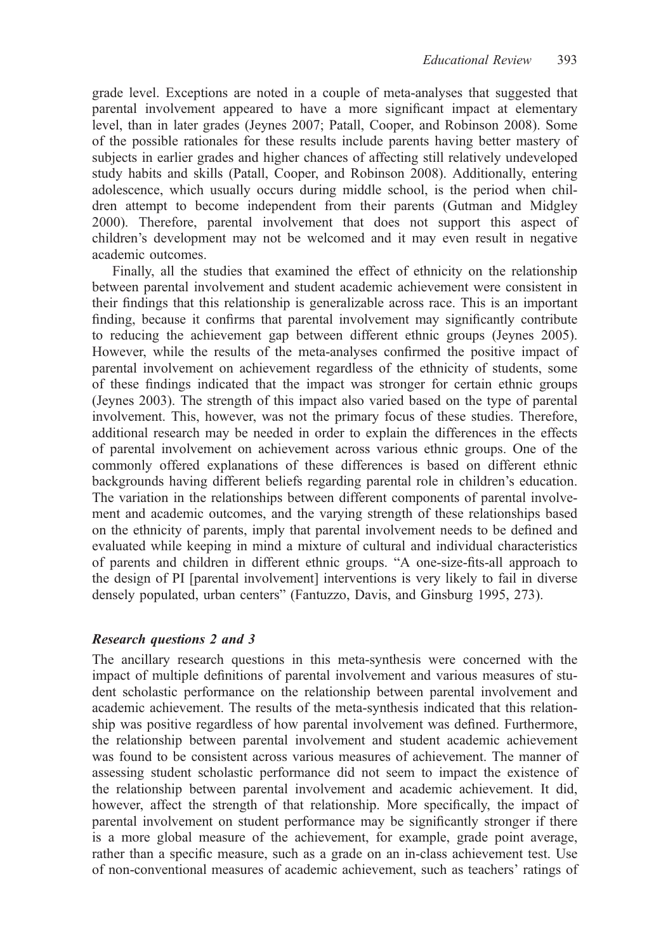grade level. Exceptions are noted in a couple of meta-analyses that suggested that parental involvement appeared to have a more significant impact at elementary level, than in later grades (Jeynes 2007; Patall, Cooper, and Robinson 2008). Some of the possible rationales for these results include parents having better mastery of subjects in earlier grades and higher chances of affecting still relatively undeveloped study habits and skills (Patall, Cooper, and Robinson 2008). Additionally, entering adolescence, which usually occurs during middle school, is the period when children attempt to become independent from their parents (Gutman and Midgley 2000). Therefore, parental involvement that does not support this aspect of children's development may not be welcomed and it may even result in negative academic outcomes.

Finally, all the studies that examined the effect of ethnicity on the relationship between parental involvement and student academic achievement were consistent in their findings that this relationship is generalizable across race. This is an important finding, because it confirms that parental involvement may significantly contribute to reducing the achievement gap between different ethnic groups (Jeynes 2005). However, while the results of the meta-analyses confirmed the positive impact of parental involvement on achievement regardless of the ethnicity of students, some of these findings indicated that the impact was stronger for certain ethnic groups (Jeynes 2003). The strength of this impact also varied based on the type of parental involvement. This, however, was not the primary focus of these studies. Therefore, additional research may be needed in order to explain the differences in the effects of parental involvement on achievement across various ethnic groups. One of the commonly offered explanations of these differences is based on different ethnic backgrounds having different beliefs regarding parental role in children's education. The variation in the relationships between different components of parental involvement and academic outcomes, and the varying strength of these relationships based on the ethnicity of parents, imply that parental involvement needs to be defined and evaluated while keeping in mind a mixture of cultural and individual characteristics of parents and children in different ethnic groups. "A one-size-fits-all approach to the design of PI [parental involvement] interventions is very likely to fail in diverse densely populated, urban centers" (Fantuzzo, Davis, and Ginsburg 1995, 273).

# Research questions 2 and 3

The ancillary research questions in this meta-synthesis were concerned with the impact of multiple definitions of parental involvement and various measures of student scholastic performance on the relationship between parental involvement and academic achievement. The results of the meta-synthesis indicated that this relationship was positive regardless of how parental involvement was defined. Furthermore, the relationship between parental involvement and student academic achievement was found to be consistent across various measures of achievement. The manner of assessing student scholastic performance did not seem to impact the existence of the relationship between parental involvement and academic achievement. It did, however, affect the strength of that relationship. More specifically, the impact of parental involvement on student performance may be significantly stronger if there is a more global measure of the achievement, for example, grade point average, rather than a specific measure, such as a grade on an in-class achievement test. Use of non-conventional measures of academic achievement, such as teachers' ratings of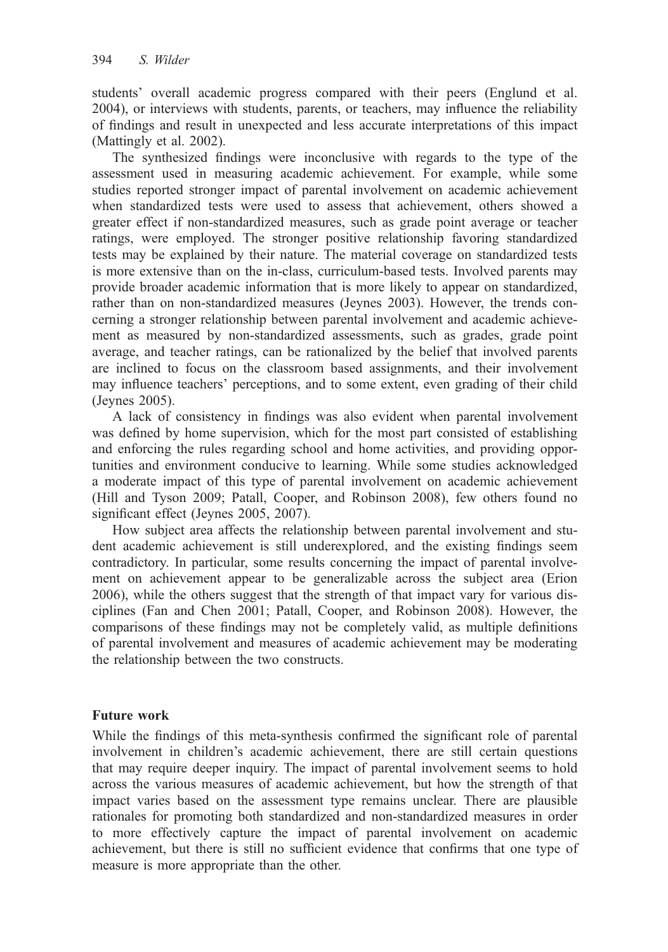students' overall academic progress compared with their peers (Englund et al. 2004), or interviews with students, parents, or teachers, may influence the reliability of findings and result in unexpected and less accurate interpretations of this impact (Mattingly et al. 2002).

The synthesized findings were inconclusive with regards to the type of the assessment used in measuring academic achievement. For example, while some studies reported stronger impact of parental involvement on academic achievement when standardized tests were used to assess that achievement, others showed a greater effect if non-standardized measures, such as grade point average or teacher ratings, were employed. The stronger positive relationship favoring standardized tests may be explained by their nature. The material coverage on standardized tests is more extensive than on the in-class, curriculum-based tests. Involved parents may provide broader academic information that is more likely to appear on standardized, rather than on non-standardized measures (Jeynes 2003). However, the trends concerning a stronger relationship between parental involvement and academic achievement as measured by non-standardized assessments, such as grades, grade point average, and teacher ratings, can be rationalized by the belief that involved parents are inclined to focus on the classroom based assignments, and their involvement may influence teachers' perceptions, and to some extent, even grading of their child (Jeynes 2005).

A lack of consistency in findings was also evident when parental involvement was defined by home supervision, which for the most part consisted of establishing and enforcing the rules regarding school and home activities, and providing opportunities and environment conducive to learning. While some studies acknowledged a moderate impact of this type of parental involvement on academic achievement (Hill and Tyson 2009; Patall, Cooper, and Robinson 2008), few others found no significant effect (Jeynes 2005, 2007).

How subject area affects the relationship between parental involvement and student academic achievement is still underexplored, and the existing findings seem contradictory. In particular, some results concerning the impact of parental involvement on achievement appear to be generalizable across the subject area (Erion 2006), while the others suggest that the strength of that impact vary for various disciplines (Fan and Chen 2001; Patall, Cooper, and Robinson 2008). However, the comparisons of these findings may not be completely valid, as multiple definitions of parental involvement and measures of academic achievement may be moderating the relationship between the two constructs.

# Future work

While the findings of this meta-synthesis confirmed the significant role of parental involvement in children's academic achievement, there are still certain questions that may require deeper inquiry. The impact of parental involvement seems to hold across the various measures of academic achievement, but how the strength of that impact varies based on the assessment type remains unclear. There are plausible rationales for promoting both standardized and non-standardized measures in order to more effectively capture the impact of parental involvement on academic achievement, but there is still no sufficient evidence that confirms that one type of measure is more appropriate than the other.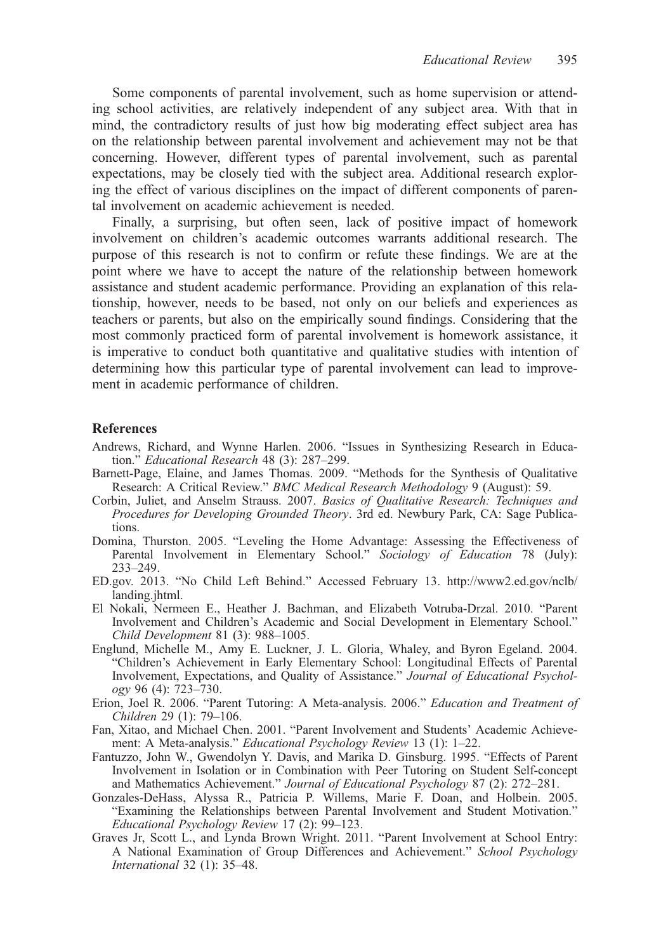Some components of parental involvement, such as home supervision or attending school activities, are relatively independent of any subject area. With that in mind, the contradictory results of just how big moderating effect subject area has on the relationship between parental involvement and achievement may not be that concerning. However, different types of parental involvement, such as parental expectations, may be closely tied with the subject area. Additional research exploring the effect of various disciplines on the impact of different components of parental involvement on academic achievement is needed.

Finally, a surprising, but often seen, lack of positive impact of homework involvement on children's academic outcomes warrants additional research. The purpose of this research is not to confirm or refute these findings. We are at the point where we have to accept the nature of the relationship between homework assistance and student academic performance. Providing an explanation of this relationship, however, needs to be based, not only on our beliefs and experiences as teachers or parents, but also on the empirically sound findings. Considering that the most commonly practiced form of parental involvement is homework assistance, it is imperative to conduct both quantitative and qualitative studies with intention of determining how this particular type of parental involvement can lead to improvement in academic performance of children.

#### References

- Andrews, Richard, and Wynne Harlen. 2006. "Issues in Synthesizing Research in Education." Educational Research 48 (3): 287–299.
- Barnett-Page, Elaine, and James Thomas. 2009. "Methods for the Synthesis of Qualitative Research: A Critical Review." BMC Medical Research Methodology 9 (August): 59.
- Corbin, Juliet, and Anselm Strauss. 2007. Basics of Qualitative Research: Techniques and Procedures for Developing Grounded Theory. 3rd ed. Newbury Park, CA: Sage Publications.
- Domina, Thurston. 2005. "Leveling the Home Advantage: Assessing the Effectiveness of Parental Involvement in Elementary School." Sociology of Education 78 (July): 233–249.
- ED.gov. 2013. "No Child Left Behind." Accessed February 13. [http://www2.ed.gov/nclb/](http://www2.ed.gov/nclb/landing.jhtml) [landing.jhtml](http://www2.ed.gov/nclb/landing.jhtml).
- El Nokali, Nermeen E., Heather J. Bachman, and Elizabeth Votruba-Drzal. 2010. "Parent Involvement and Children's Academic and Social Development in Elementary School." Child Development 81 (3): 988–1005.
- Englund, Michelle M., Amy E. Luckner, J. L. Gloria, Whaley, and Byron Egeland. 2004. "Children's Achievement in Early Elementary School: Longitudinal Effects of Parental Involvement, Expectations, and Quality of Assistance." Journal of Educational Psychology 96 (4): 723–730.
- Erion, Joel R. 2006. "Parent Tutoring: A Meta-analysis. 2006." Education and Treatment of Children 29 (1): 79–106.
- Fan, Xitao, and Michael Chen. 2001. "Parent Involvement and Students' Academic Achievement: A Meta-analysis." Educational Psychology Review 13 (1): 1–22.
- Fantuzzo, John W., Gwendolyn Y. Davis, and Marika D. Ginsburg. 1995. "Effects of Parent Involvement in Isolation or in Combination with Peer Tutoring on Student Self-concept and Mathematics Achievement." Journal of Educational Psychology 87 (2): 272–281.
- Gonzales-DeHass, Alyssa R., Patricia P. Willems, Marie F. Doan, and Holbein. 2005. "Examining the Relationships between Parental Involvement and Student Motivation." Educational Psychology Review 17 (2): 99–123.
- Graves Jr, Scott L., and Lynda Brown Wright. 2011. "Parent Involvement at School Entry: A National Examination of Group Differences and Achievement." School Psychology International 32 (1): 35–48.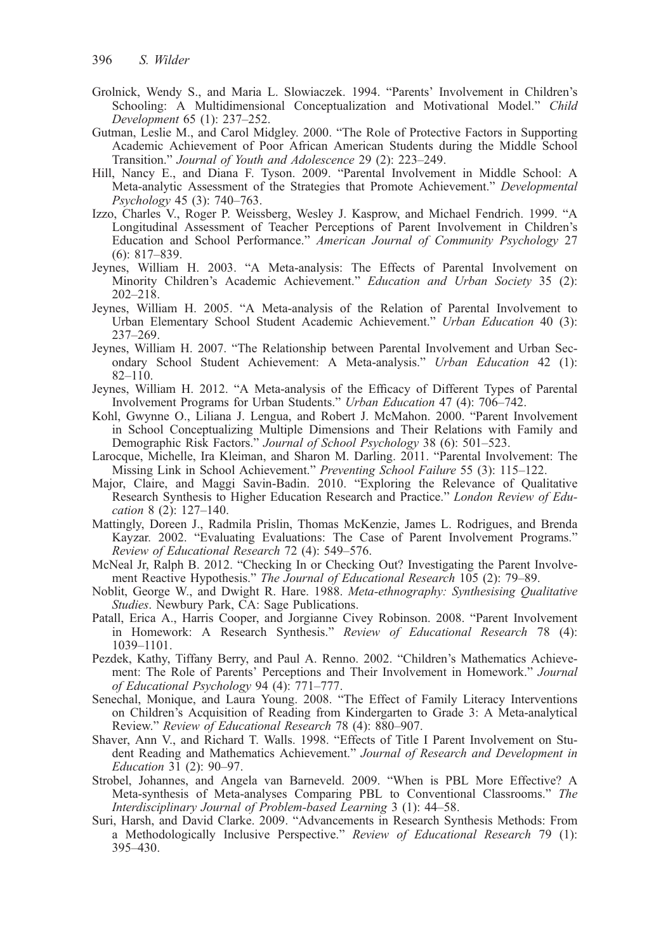- Grolnick, Wendy S., and Maria L. Slowiaczek. 1994. "Parents' Involvement in Children's Schooling: A Multidimensional Conceptualization and Motivational Model." Child Development 65 (1): 237–252.
- Gutman, Leslie M., and Carol Midgley. 2000. "The Role of Protective Factors in Supporting Academic Achievement of Poor African American Students during the Middle School Transition." Journal of Youth and Adolescence 29 (2): 223–249.
- Hill, Nancy E., and Diana F. Tyson. 2009. "Parental Involvement in Middle School: A Meta-analytic Assessment of the Strategies that Promote Achievement." Developmental Psychology 45 (3): 740–763.
- Izzo, Charles V., Roger P. Weissberg, Wesley J. Kasprow, and Michael Fendrich. 1999. "A Longitudinal Assessment of Teacher Perceptions of Parent Involvement in Children's Education and School Performance." American Journal of Community Psychology 27 (6): 817–839.
- Jeynes, William H. 2003. "A Meta-analysis: The Effects of Parental Involvement on Minority Children's Academic Achievement." Education and Urban Society 35 (2): 202–218.
- Jeynes, William H. 2005. "A Meta-analysis of the Relation of Parental Involvement to Urban Elementary School Student Academic Achievement." Urban Education 40 (3): 237–269.
- Jeynes, William H. 2007. "The Relationship between Parental Involvement and Urban Secondary School Student Achievement: A Meta-analysis." Urban Education 42 (1): 82–110.
- Jeynes, William H. 2012. "A Meta-analysis of the Efficacy of Different Types of Parental Involvement Programs for Urban Students." Urban Education 47 (4): 706–742.
- Kohl, Gwynne O., Liliana J. Lengua, and Robert J. McMahon. 2000. "Parent Involvement in School Conceptualizing Multiple Dimensions and Their Relations with Family and Demographic Risk Factors." Journal of School Psychology 38 (6): 501–523.
- Larocque, Michelle, Ira Kleiman, and Sharon M. Darling. 2011. "Parental Involvement: The Missing Link in School Achievement." Preventing School Failure 55 (3): 115-122.
- Major, Claire, and Maggi Savin-Badin. 2010. "Exploring the Relevance of Qualitative Research Synthesis to Higher Education Research and Practice." London Review of Education 8 (2): 127–140.
- Mattingly, Doreen J., Radmila Prislin, Thomas McKenzie, James L. Rodrigues, and Brenda Kayzar. 2002. "Evaluating Evaluations: The Case of Parent Involvement Programs." Review of Educational Research 72 (4): 549–576.
- McNeal Jr, Ralph B. 2012. "Checking In or Checking Out? Investigating the Parent Involvement Reactive Hypothesis." The Journal of Educational Research 105 (2): 79-89.
- Noblit, George W., and Dwight R. Hare. 1988. Meta-ethnography: Synthesising Qualitative Studies. Newbury Park, CA: Sage Publications.
- Patall, Erica A., Harris Cooper, and Jorgianne Civey Robinson. 2008. "Parent Involvement in Homework: A Research Synthesis." Review of Educational Research 78 (4): 1039–1101.
- Pezdek, Kathy, Tiffany Berry, and Paul A. Renno. 2002. "Children's Mathematics Achievement: The Role of Parents' Perceptions and Their Involvement in Homework." Journal of Educational Psychology 94 (4): 771–777.
- Senechal, Monique, and Laura Young. 2008. "The Effect of Family Literacy Interventions on Children's Acquisition of Reading from Kindergarten to Grade 3: A Meta-analytical Review." Review of Educational Research 78 (4): 880–907.
- Shaver, Ann V., and Richard T. Walls. 1998. "Effects of Title I Parent Involvement on Student Reading and Mathematics Achievement." Journal of Research and Development in Education 31 (2): 90–97.
- Strobel, Johannes, and Angela van Barneveld. 2009. "When is PBL More Effective? A Meta-synthesis of Meta-analyses Comparing PBL to Conventional Classrooms." The Interdisciplinary Journal of Problem-based Learning 3 (1): 44–58.
- Suri, Harsh, and David Clarke. 2009. "Advancements in Research Synthesis Methods: From a Methodologically Inclusive Perspective." Review of Educational Research 79 (1): 395–430.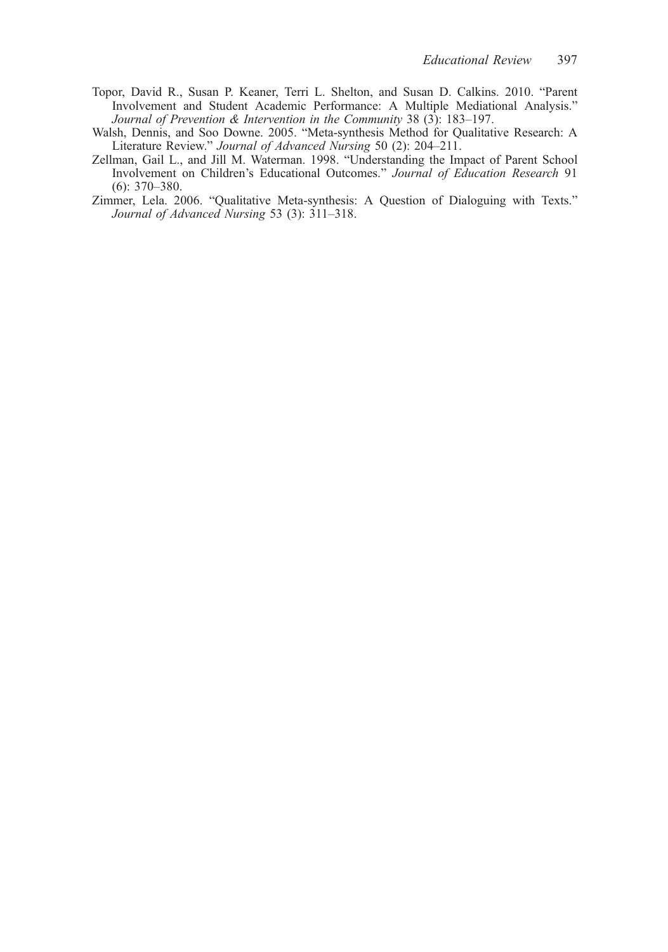- Topor, David R., Susan P. Keaner, Terri L. Shelton, and Susan D. Calkins. 2010. "Parent Involvement and Student Academic Performance: A Multiple Mediational Analysis." Journal of Prevention  $\&$  Intervention in the Community 38 (3): 183–197.
- Walsh, Dennis, and Soo Downe. 2005. "Meta-synthesis Method for Qualitative Research: A Literature Review." Journal of Advanced Nursing 50 (2): 204–211.
- Zellman, Gail L., and Jill M. Waterman. 1998. "Understanding the Impact of Parent School Involvement on Children's Educational Outcomes." Journal of Education Research 91 (6): 370–380.
- Zimmer, Lela. 2006. "Qualitative Meta-synthesis: A Question of Dialoguing with Texts." Journal of Advanced Nursing 53 (3): 311–318.